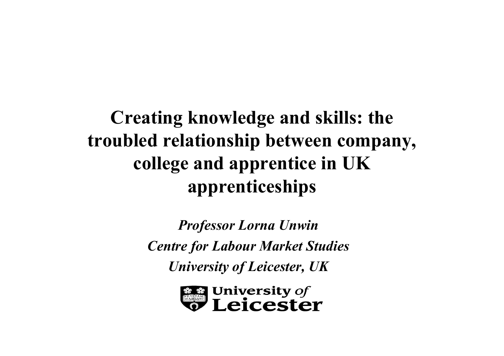#### **Creating knowledge and skills: the troubled relationship between company, college and apprentice in UK apprenticeships**

*Professor Lorna Unwin Centre for Labour Market Studies University of Leicester, UK*

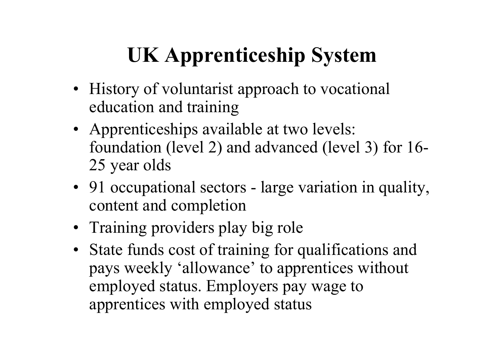## **UK Apprenticeship System**

- History of voluntarist approach to vocational education and training
- Apprenticeships available at two levels: foundation (level 2) and advanced (level 3) for 16- 25 year olds
- 91 occupational sectors large variation in quality, content and completion
- Training providers play big role
- State funds cost of training for qualifications and pays weekly 'allowance' to apprentices without employed status. Employers pay wage to apprentices with employed status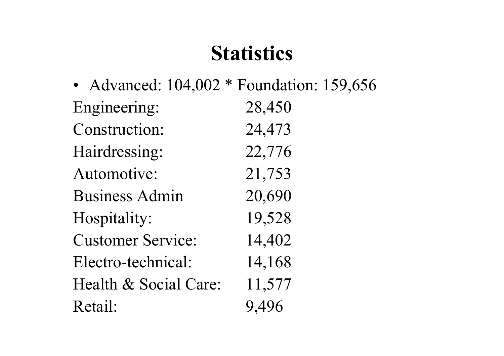#### **Statistics**

• Advanced: 104,002 \* Foundation: 159,656 Engineering: 28,450 Construction: 24,473 Hairdressing: 22,776 Automotive: 21,753 Business Admin 20,690 Hospitality: 19,528 Customer Service: 14,402 Electro-technical: 14,168 Health & Social Care: 11,577 Retail: 9,496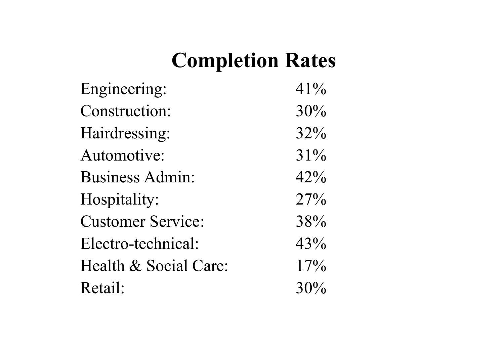### **Completion Rates**

| Engineering:             | 41% |
|--------------------------|-----|
| Construction:            | 30% |
| Hairdressing:            | 32% |
| Automotive:              | 31% |
| <b>Business Admin:</b>   | 42% |
| Hospitality:             | 27% |
| <b>Customer Service:</b> | 38% |
| Electro-technical:       | 43% |
| Health & Social Care:    | 17% |
| Retail:                  | 30% |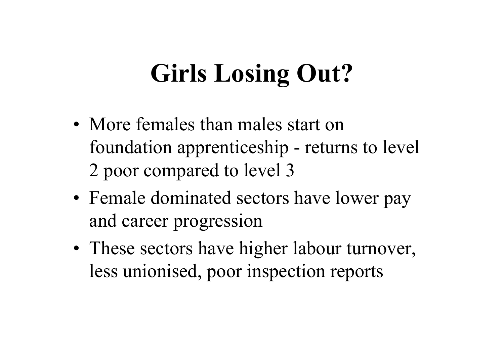# **Girls Losing Out?**

- More females than males start on foundation apprenticeship - returns to level 2 poor compared to level 3
- •• Female dominated sectors have lower pay and career progression
- •• These sectors have higher labour turnover, less unionised, poor inspection reports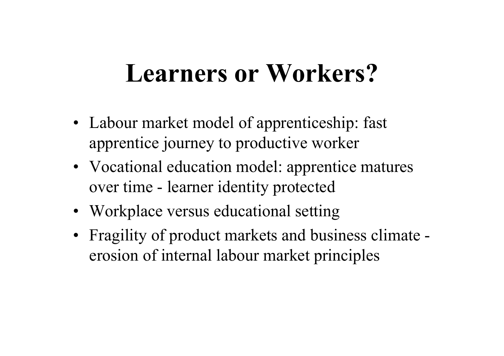## **Learners or Workers?**

- Labour market model of apprenticeship: fast apprentice journey to productive worker
- Vocational education model: apprentice matures over time - learner identity protected
- Workplace versus educational setting
- Fragility of product markets and business climate erosion of internal labour market principles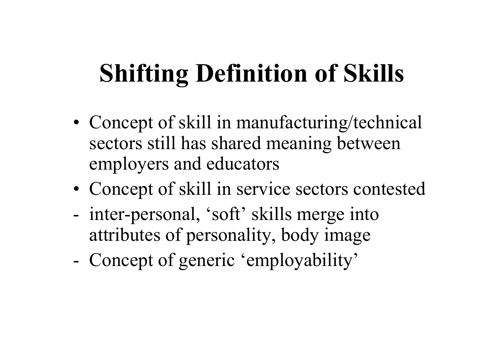# **Shifting Definition of Skills**

- Concept of skill in manufacturing/technical sectors still has shared meaning between employers and educators
- Concept of skill in service sectors contested
- inter-personal, 'soft' skills merge into attributes of personality, body image
- Concept of generic 'employability'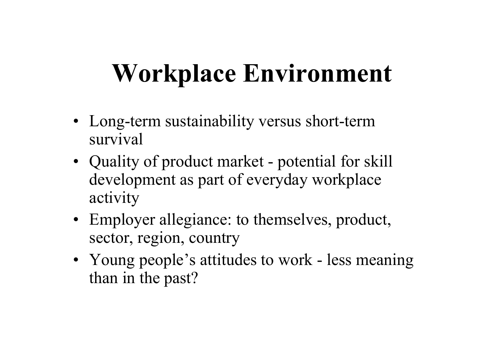## **Workplace Environment**

- Long-term sustainability versus short-term survival
- Quality of product market potential for skill development as part of everyday workplace activity
- Employer allegiance: to themselves, product, sector, region, country
- Young people's attitudes to work less meaning than in the past?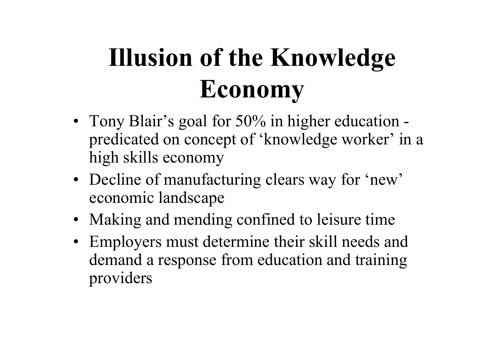# **Illusion of the Knowledge Economy**

- Tony Blair's goal for 50% in higher education predicated on concept of 'knowledge worker' in a high skills economy
- Decline of manufacturing clears way for 'new' economic landscape
- Making and mending confined to leisure time
- Employers must determine their skill needs and demand a response from education and training providers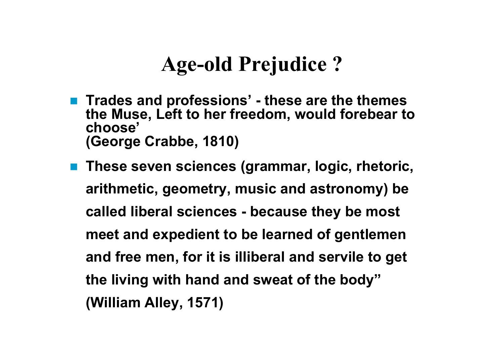#### **Age-old Prejudice ?**

- Trades and professions' these are the themes **the Muse, Left to her freedom, would forebear to choose' (George Crabbe, 1810)**
- **These seven sciences (grammar, logic, rhetoric, arithmetic, geometry, music and astronomy) be called liberal sciences - because they be most meet and expedient to be learned of gentlemen and free men, for it is illiberal and servile to get the living with hand and sweat of the body" (William Alley, 1571)**